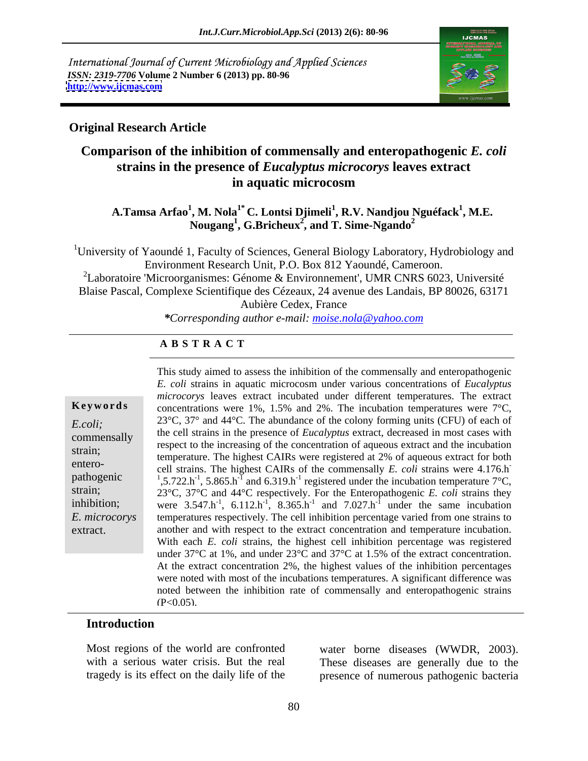International Journal of Current Microbiology and Applied Sciences *ISSN: 2319-7706* **Volume 2 Number 6 (2013) pp. 80-96 <http://www.ijcmas.com>**



### **Original Research Article**

## **Comparison of the inhibition of commensally and enteropathogenic** *E. coli* **strains in the presence of** *Eucalyptus microcorys* **leaves extract in aquatic microcosm**

### $\mathbf{A}.\mathbf{T}$ amsa Arfao $^1\!,\mathbf{M}.\mathbf{N}$ ola $^{1^\ast}\mathbf{C}.\mathbf{L}$ ontsi Djimeli $^1\!,\mathbf{R}.\mathbf{V}.\mathbf{N}$ andjou Nguéfack $^1\!,\mathbf{M}.\mathbf{E}.\mathbf{V}$ **, M.E.**   $N$ **ougang<sup>1</sup>, G.Bricheux<sup>2</sup>, and T. Sime-Ngando<sup>2</sup>**

<sup>1</sup>University of Yaoundé 1, Faculty of Sciences, General Biology Laboratory, Hydrobiology and Environment Research Unit, P.O. Box 812 Yaoundé, Cameroon. <sup>2</sup>Laboratoire 'Microorganismes: Génome & Environnement', UMR CNRS 6023, Université Blaise Pascal, Complexe Scientifique des Cézeaux, 24 avenue des Landais, BP 80026, 63171 Aubière Cedex, France

*\*Corresponding author e-mail: moise.nola@yahoo.com*

### **A B S T R A C T**

| Keywords      |
|---------------|
| E.coli;       |
| commensally   |
| strain;       |
| entero-       |
| pathogenic    |
| strain;       |
| inhibition;   |
| E. microcorys |
| extract.      |
|               |

pathogenic  $\frac{1}{1}$ , 5.722.h<sup>-1</sup>, 5.865.h<sup>-1</sup> and 6.319.h<sup>-1</sup> registered under the incubation temperature 7°C, **Keywords** concentrations were 1%, 1.5% and 2%. The incubation temperatures were 7<sup>o</sup>C, *E.coli*; 23°C, 37° and 44°C. The abundance of the colony forming units (CFU) of each of the cell strains in the presence of *Eucalyptus* extract, decreased in most cases with<br>commensally extract to the increasing of the concentration of express entract and the insulation strain;<br>temperature. The highest CAIRs were registered at 2% of aqueous extract for both entero-<br>cell strains. The highest CAIRs of the commensally *E. coli* strains were 4.176.h strain; 23°C, 37°C and 44°C respectively. For the Enteropathogenic *E. coli* strains they inhibition; were  $3.547 \text{.h}^{-1}$ ,  $6.112 \text{.h}^{-1}$ ,  $8.365 \text{.h}^{-1}$  and  $7.027 \text{.h}^{-1}$  under the same incubation *E. microcorys* temperatures respectively. The cell inhibition percentage varied from one strains to extract. another and with respect to the extract concentration and temperature incubation. This study aimed to assess the inhibition of the commensally and enteropathogenic *E. coli* strains in aquatic microcosm under various concentrations of *Eucalyptus microcorys* leaves extract incubated under different temperatures. The extract respect to the increasing of the concentration of aqueous extract and the incubation **-** Andrea Maria Maria Maria Maria With each *E. coli* strains, the highest cell inhibition percentage was registered under 37°C at 1%, and under 23°C and 37°C at 1.5% of the extract concentration. At the extract concentration 2%, the highest values of the inhibition percentages were noted with most of the incubations temperatures. A significant difference was noted between the inhibition rate of commensally and enteropathogenic strains  $(P<0.05)$ .

### **Introduction**

Most regions of the world are confronted water borne diseases (WWDR, 2003).

with a serious water crisis. But the real These diseases are generally due to the tragedy is its effect on the daily life of the presence of numerous pathogenic bacteria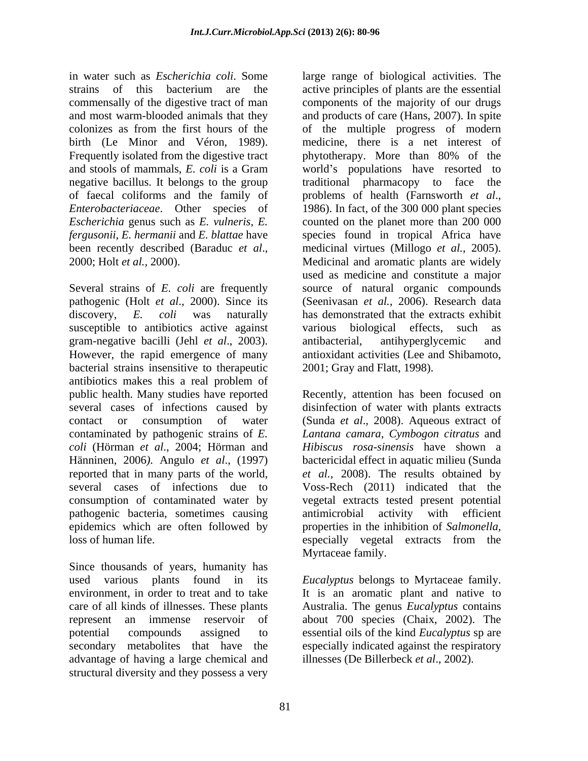in water such as *Escherichia coli*. Some large range of biological activities. The strains of this bacterium are the active principles of plants are the essential commensally of the digestive tract of man components of the majority of our drugs and most warm-blooded animals that they and products of care (Hans, 2007). In spite colonizes as from the first hours of the of the multiple progress of modern birth (Le Minor and Véron, 1989). Frequently isolated from the digestive tract by phytotherapy. More than 80% of the and stools of mammals, *E. coli* is a Gram world's populations have resorted to negative bacillus. It belongs to the group traditional pharmacopy to face the of faecal coliforms and the family of problems of health (Farnsworth et al., *Enterobacteriaceae.* Other species of 1986). In fact, of the 300 000 plant species *Escherichia* genus such as *E. vulneris*, *E.*  counted on the planet more than 200 000 *fergusonii*, *E. hermanii* and *E. blattae* have species found in tropical Africa have been recently described (Baraduc *et al.*, medicinal virtues (Millogo *et al.*, 2005).<br>2000; Holt *et al.*, 2000). Medicinal and aromatic plants are widely

Several strains of *E. coli* are frequently source of natural organic compounds pathogenic (Holt *et al*., 2000). Since its discovery, *E. coli* was naturally has demonstrated that the extracts exhibit susceptible to antibiotics active against various gram-negative bacilli (Jehl *et al*., 2003). However, the rapid emergence of many antioxidant activities (Lee and Shibamoto, bacterial strains insensitive to therapeutic antibiotics makes this a real problem of public health. Many studies have reported Recently, attention has been focused on several cases of infections caused by contact or consumption of water (Sunda *et al*., 2008).Aqueous extract of contaminated by pathogenic strains of *E. Lantana camara*, *Cymbogon citratus* and *coli* (Hörman *et al*., 2004; Hörman and Hänninen, 2006*)*. Angulo *et al*., (1997) bactericidal effect in aquatic milieu (Sunda reported that in many parts of the world, *et al.,* 2008). The results obtained by several cases of infections due to Voss-Rech (2011) indicated that the consumption of contaminated water by vegetal extracts tested present potential pathogenic bacteria, sometimes causing antimicrobial activity with efficient epidemics which are often followed by properties in the inhibition of *Salmonella,* loss of human life.

Since thousands of years, humanity has used various plants found in its *Eucalyptus* belongs to Myrtaceae family. environment, in order to treat and to take It is an aromatic plant and native to care of all kinds of illnesses. These plants Australia. The genus *Eucalyptus* contains represent an immense reservoir of about 700 species (Chaix, 2002). The potential compounds assigned to essential oils of the kind *Eucalyptus* sp are secondary metabolites that have the especially indicated against the respiratory advantage of having a large chemical and structural diversity and they possess a very

medicine, there is a net interest of phytotherapy. More than 80% of the problems of health (Farnsworth *et al*., 1986). In fact, of the <sup>300</sup> <sup>000</sup> plant species medicinal virtues (Millogo *et al.*, 2005). Medicinal and aromatic plants are widely used as medicine and constitute a major (Seenivasan *et al.,* 2006). Research data biological effects, such as antibacterial, antihyperglycemic and 2001; Gray and Flatt, 1998).

disinfection of water with plants extracts *Hibiscus rosa-sinensis* have shown a antimicrobial activity with efficient especially vegetal extracts from the Myrtaceae family.

illnesses (De Billerbeck *et al*., 2002).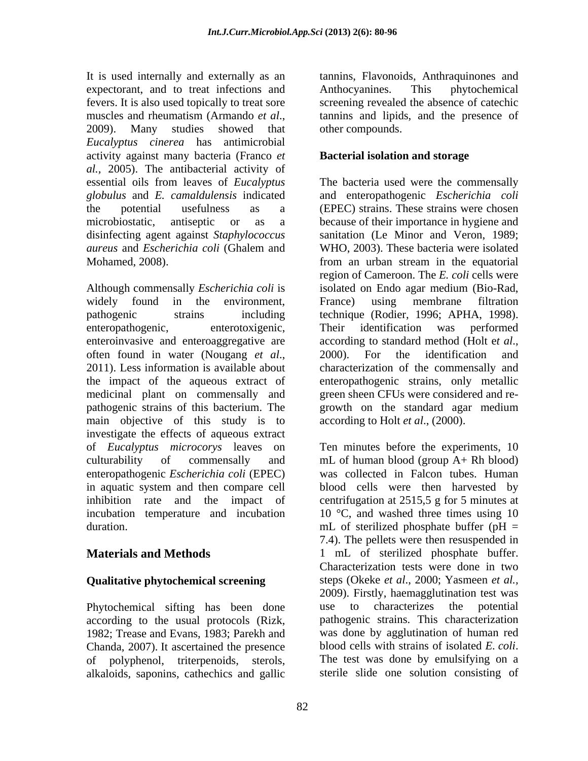It is used internally and externally as an tannins, Flavonoids, Anthraquinones and expectorant, and to treat infections and Anthocyanines. This phytochemical fevers. It is also used topically to treat sore screening revealed the absence of catechic muscles and rheumatism (Armando *et al.*, tannins and lipids, and the presence of 2009). Many studies showed that other compounds. *Eucalyptus cinerea* has antimicrobial activity against many bacteria (Franco *et al.,* 2005). The antibacterial activity of essential oils from leaves of *Eucalyptus globulus* and *E. camaldulensis* indicated and enteropathogenic *Escherichia coli* the potential usefulness as a (EPEC) strains. These strains were chosen microbiostatic, antiseptic or as a because of their importance in hygiene and disinfecting agent against *Staphylococcus*  sanitation (Le Minor and Veron, 1989; *aureus* and *Escherichia coli* (Ghalem and Mohamed, 2008). from an urban stream in the equatorial

Although commensally *Escherichia coli* is isolated on Endo agar medium (Bio-Rad, widely found in the environment, France) using membrane filtration<br>pathogenic strains including technique (Rodier, 1996; APHA, 1998). enteropathogenic, enterotoxigenic, Their identification was performed enteroinvasive and enteroaggregative are according to standard method (Holt et al., often found in water (Nougang *et al.*, 2000). For the identification and 2011). Less information is available about characterization of the commensally and the impact of the aqueous extract of medicinal plant on commensally and green sheen CFUs were considered and re pathogenic strains of this bacterium. The growth on the standard agar medium main objective of this study is to investigate the effects of aqueous extract of *Eucalyptus microcorys* leaves on Ten minutes before the experiments, 10 culturability of commensally and mL of human blood (group A+ Rh blood) enteropathogenic *Escherichia coli* (EPEC) in aquatic system and then compare cell blood cells were then harvested by inhibition rate and the impact of centrifugation at 2515,5 g for 5 minutes at incubation temperature and incubation

### **Qualitative phytochemical screening**

Phytochemical sifting has been done use to characterizes the potential according to the usual protocols (Rizk, Chanda, 2007). It ascertained the presence blood cells with strains of isolated E. coli. of polyphenol, triterpenoids, sterols, alkaloids, saponins, cathechics and gallic

Anthocyanines. This phytochemical tannins and lipids, and the presence of other compounds.

### **Bacterial isolation and storage**

The bacteria used were the commensally WHO, 2003). These bacteria were isolated region of Cameroon. The *E. coli* cells were France) using membrane filtration technique (Rodier, 1996; APHA, 1998). Their identification was performed according to standard method (Holt <sup>e</sup>*<sup>t</sup> al*., 2000). For the identification and characterization of the commensally and enteropathogenic strains, only metallic according to Holt *et al*., (2000).

duration. The step is step in the step of sterilized phosphate buffer (pH =  $\mu$  =  $\mu$ **Materials and Methods** 1 mL of sterilized phosphate buffer. 1982; Trease and Evans, 1983; Parekh and was done by agglutination of human red was collected in Falcon tubes. Human 10 °C, and washed three times using 10 7.4). The pellets were then resuspended in Characterization tests were done in two steps (Okeke *et al*., 2000; Yasmeen *et al.,* 2009). Firstly, haemagglutination test was use to characterizes the potential pathogenic strains. This characterization blood cells with strains of isolated *E. coli*. The test was done by emulsifying on <sup>a</sup> sterile slide one solution consisting of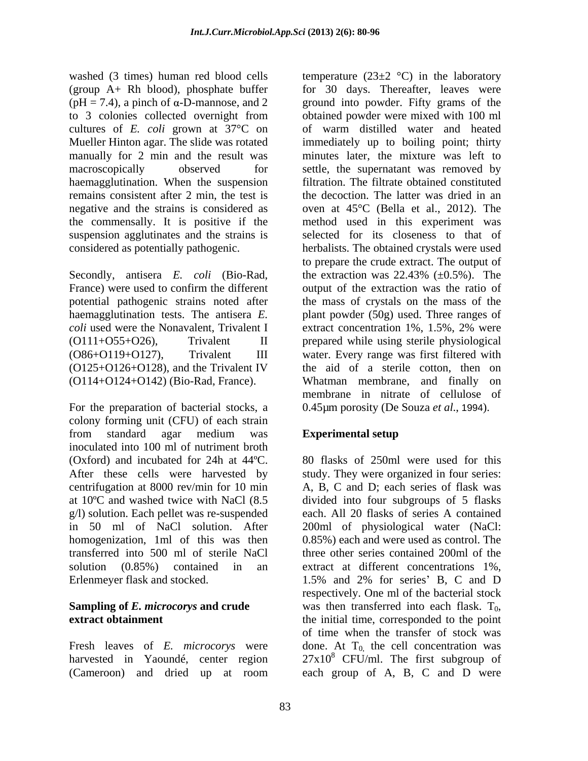washed (3 times) human red blood cells temperature  $(23\pm 2 \degree C)$  in the laboratory (group A+ Rh blood), phosphate buffer  $(pH = 7.4)$ , a pinch of  $\alpha$ -D-mannose, and 2 ground into powder. Fifty grams of the to 3 colonies collected overnight from obtained powder were mixed with 100 ml cultures of *E. coli* grown at 37°C on Mueller Hinton agar. The slide was rotated immediately up to boiling point; thirty manually for 2 min and the result was minutes later, the mixture was left to macroscopically observed for settle, the supernatant was removed by haemagglutination. When the suspension remains consistent after 2 min, the test is negative and the strains is considered as oven at 45°C (Bella et al., 2012). The the commensally. It is positive if the method used in this experiment was suspension agglutinates and the strains is selected for its closeness to that of considered as potentially pathogenic. herbalists. The obtained crystals were used

Secondly, antisera *E. coli* (Bio-Rad, *coli* used were the Nonavalent, Trivalent I extract concentration 1%, 1.5%, 2% were (O125+O126+O128), and the Trivalent IV

For the preparation of bacterial stocks, a colony forming unit (CFU) of each strain from standard agar medium was **Experimental setup** inoculated into 100 ml of nutriment broth (Oxford) and incubated for 24h at  $44^{\circ}$ C. 80 flasks of 250ml were used for this After these cells were harvested by study. They were organized in four series: centrifugation at 8000 rev/min for 10 min A, B, C and D; each series of flask was at 10ºC and washed twice with NaCl (8.5 divided into four subgroups of 5 flasks g/l) solution. Each pellet was re-suspended in 50 ml of NaCl solution. After 200ml of physiological water (NaCl: homogenization, 1ml of this was then 0.85%) each and were used as control. The transferred into 500 ml of sterile NaCl solution (0.85%) contained in an extract at different concentrations 1%,

(Cameroon) and dried up at room each group of A, B, C and D were

France) were used to confirm the different output of the extraction was the ratio of potential pathogenic strains noted after the mass of crystals on the mass of the haemagglutination tests. The antisera *E.*  plant powder (50g) used. Three ranges of (O111+O55+O26), Trivalent II prepared while using sterile physiological (O86+O119+O127), Trivalent III water. Every range was first filtered with (O114+O124+O142) (Bio-Rad, France). Whatman membrane, and finally on for 30 days. Thereafter, leaves were obtained powder were mixed with 100 ml of warm distilled water and heated filtration. The filtrate obtained constituted the decoction. The latter was dried in an to prepare the crude extract. The output of the extraction was  $22.43\%$  ( $\pm 0.5\%$ ). The output of the extraction was the ratio of extract concentration 1%, 1.5%, 2% were the aid of a sterile cotton, then on membrane in nitrate of cellulose of 0.45µm porosity (De Souza *et al*., 1994).

## **Experimental setup**

Erlenmeyer flask and stocked. 1.5% and 2% for series' B, C and D **Sampling of** *E. microcorys* **and crude** was then transferred into each flask. T<sub>0</sub>, **extract obtainment extract obtainment extract obtainment extract** obtainment Fresh leaves of  $E$ . *microcorys* were done. At  $T_0$ , the cell concentration was harvested in Yaoundé, center region  $27x10^8$  CFU/ml. The first subgroup of each. All 20 flasks of series A contained three other series contained 200ml of the respectively. One ml of the bacterial stock was then transferred into each flask.  $T_0$ , the initial time, corresponded to the point of time when the transfer of stock was each group of A, B, C and D were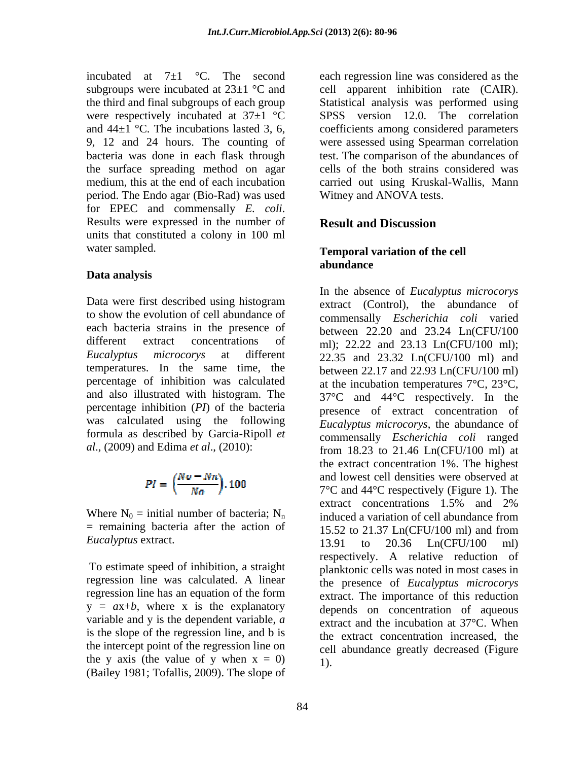incubated at  $7\pm 1$  °C. The second each regression line was considered as the subgroups were incubated at  $23\pm1$  °C and 9, 12 and 24 hours. The counting of bacteria was done in each flask through the surface spreading method on agar period. The Endo agar (Bio-Rad) was used for EPEC and commensally *E. coli*. Results were expressed in the number of **Result and Discussion** units that constituted a colony in 100 ml water sampled. **Temporal variation of the cell** 

### **Data analysis**

Data were first described using histogram to show the evolution of cell abundance of each bacteria strains in the presence of temperatures. In the same time, the percentage of inhibition was calculated and also illustrated with histogram. The was calculated using the following formula as described by Garcia-Ripoll *et*

$$
PI = \left(\frac{No - Nn}{Na}\right), 100
$$

 $=$  remaining bacteria after the action of  $= 15.52$  to 21.37 Ln(CFU/100 ml) and from

To estimate speed of inhibition, a straight regression line was calculated. A linear  $y = ax + b$ , where x is the explanatory variable and y is the dependent variable, *a* is the slope of the regression line, and b is the intercept point of the regression line on the y axis (the value of y when  $x = 0$ ) (Bailey 1981; Tofallis, 2009). The slope of

the third and final subgroups of each group Statistical analysis was performed using were respectively incubated at 37±1 °C SPSS version 12.0. The correlation and  $44\pm1$  °C. The incubations lasted 3, 6, coefficients among considered parameters medium, this at the end of each incubation carried out using Kruskal-Wallis, Mann cell apparent inhibition rate (CAIR). were assessed using Spearman correlation test. The comparison of the abundances of cells of the both strains considered was Witney and ANOVA tests.

### **Result and Discussion**

# **abundance**

different extract concentrations of  $ml$ ); 22.22 and 23.13 Ln(CFU/100 ml); *Eucalyptus microcorys* at different 22.35 and 23.32 Ln(CFU/100 ml) and percentage inhibition (*PI*) of the bacteria presence of extract concentration of *al*., (2009) and Edima *et al*., (2010): from 18.23 to 21.46 Ln(CFU/100 ml) at  $PI = \left(\frac{Nv - Nn}{Na}\right)$ . 100 and lowest cell densities were observed at<br>  $7^{\circ}$ C and 44<sup>o</sup>C respectively (Figure 1). The<br>
extract concentrations 1.5% and 2%<br>
induced a variation of cell abundance from *Eucalyptus* extract. 13.91 to 20.36 Ln(CFU/100 ml) regression line has an equation of the form extract. The importance of this reduction In the absence of *Eucalyptus microcorys* extract (Control), the abundance of commensally *Escherichia coli* varied between 22.20 and 23.24 Ln(CFU/100 between 22.17 and 22.93 Ln(CFU/100 ml) at the incubation temperatures 7°C, 23°C, 37°C and 44°C respectively. In the *Eucalyptus microcorys*, the abundance of commensally *Escherichia coli* ranged the extract concentration 1%. The highest and lowest cell densities were observed at 7°C and 44°C respectively (Figure 1). The extract concentrations 1.5% and 2% induced a variation of cell abundance from 15.52 to 21.37 Ln(CFU/100 ml) and from 13.91 to 20.36 Ln(CFU/100 ml) respectively. A relative reduction of planktonic cells was noted in most cases in the presence of *Eucalyptus microcorys* extract. The importance of this reduction depends on concentration of aqueous extract and the incubation at 37°C. When the extract concentration increased, the cell abundance greatly decreased (Figure 1).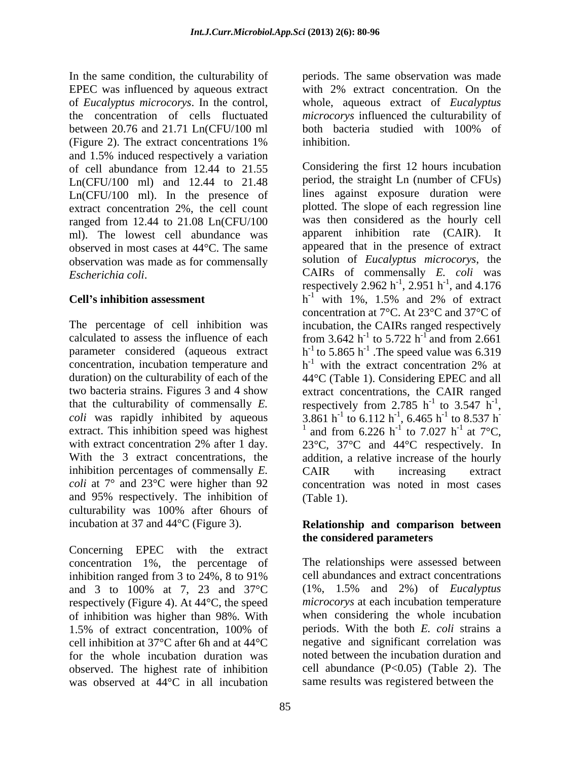In the same condition, the culturability of EPEC was influenced by aqueous extract with 2% extract concentration. On the of *Eucalyptus microcorys*. In the control, whole, aqueous extract of *Eucalyptus*  the concentration of cells fluctuated *microcorys* influenced the culturability of between 20.76 and 21.71 Ln(CFU/100 ml (Figure 2). The extract concentrations 1% and 1.5% induced respectively a variation Ln(CFU/100 ml) and 12.44 to 21.48 Ln(CFU/100 ml). In the presence of extract concentration 2%, the cell count ranged from 12.44 to 21.08 Ln(CFU/100 ml). The lowest cell abundance was observed in most cases at 44°C. The same observation was made as for commensally

inhibition percentages of commensally *E*. CAIR with increasing extract *coli* at 7° and 23°C were higher than 92 and 95% respectively. The inhibition of culturability was 100% after 6hours of

Concerning EPEC with the extract concentration 1%, the percentage of inhibition ranged from 3 to 24%, 8 to 91% and 3 to 100% at 7, 23 and 37°C respectively (Figure 4). At 44°C, the speed of inhibition was higher than 98%. With 1.5% of extract concentration, 100% of periods. With the both E. coli strains a cell inhibition at 37°C after 6h and at 44°C for the whole incubation duration was observed. The highest rate of inhibition was observed at 44°C in all incubation

periods. The same observation was made both bacteria studied with 100% of inhibition.

of cell abundance from 12.44 to 21.55 Considering the first 12 hours incubation *Escherichia coli*. CAIRs of commensally *E. coli* was **Cell's inhibition assessment**  $h^{-1}$  with 1%, 1.5% and 2% of extract The percentage of cell inhibition was incubation, the CAIRs ranged respectively calculated to assess the influence of each from 3.642  $h^{-1}$  to 5.722  $h^{-1}$  and from 2.661 parameter considered (aqueous extract  $h^{-1}$  to 5.865  $h^{-1}$ ). The speed value was 6.319 concentration, incubation temperature and  $h^{-1}$  with the extract concentration 2% at duration) on the culturability of each of the 44°C (Table 1). Considering EPEC and all two bacteria strains. Figures 3 and 4 show extract concentrations, the CAIR ranged that the culturability of commensally *E*. respectively from 2.785  $h^{-1}$  to 3.547  $h^{-1}$ , *coli* was rapidly inhibited by aqueous  $3.861 h^{-1}$  to  $6.112 h^{-1}$ ,  $6.465 h^{-1}$  to  $8.537 h^{-1}$ extract. This inhibition speed was highest  $\frac{1}{2}$  and from 6.226 h<sup>-1</sup> to 7.027 h<sup>-1</sup> at 7<sup>o</sup>C, with extract concentration 2% after 1 day.  $23^{\circ}$ C,  $37^{\circ}$ C and  $44^{\circ}$ C respectively. In With the 3 extract concentrations, the addition, a relative increase of the hourly Considering the first 12 hours incubation period, the straight Ln (number of CFUs) lines against exposure duration were plotted. The slope of each regression line was then considered as the hourly cell apparent inhibition rate (CAIR). It appeared that in the presence of extract solution of *Eucalyptus microcorys*, the respectively 2.962 h<sup>-1</sup>, 2.951 h<sup>-1</sup>, and 4.176 , 2.951 h<sup>-1</sup>, and 4.176  $^{-1}$  and  $4.176$ , and 4.176 with 1%, 1.5% and 2% of extract concentration at 7°C. At 23°C and 37°C of and from 2.661 .The speed value was 6.319 with the extract concentration 2% at <sup>-1</sup> to 3.547  $h^{-1}$ , -1 respectively from 2.785 h<sup>-1</sup> to 3.547 h<sup>-1</sup>,<br>3.861 h<sup>-1</sup> to 6.112 h<sup>-1</sup>, 6.465 h<sup>-1</sup> to 8.537 h<sup>-1</sup> , 6.465 h<sup>-1</sup> to 8.537 h<sup>-</sup>  $-1$  to  $9.527$  h to 8.537 h **-** Andrea Maria Maria Maria Maria to 7.027 h<sup>-1</sup> at 7<sup>o</sup>C,  $-1$  of  $70^\circ$ at  $7^{\circ}C$ , CAIR with increasing extract concentration was noted in most cases (Table 1).

### incubation at 37 and 44°C (Figure 3). **Relationship and comparison between the considered parameters**

The relationships were assessed between cell abundances and extract concentrations (1%, 1.5% and 2%) of *Eucalyptus microcorys* at each incubation temperature when considering the whole incubation periods. With the both *E. coli* strains a negative and significant correlation was noted between the incubation duration and cell abundance (P<0.05) (Table 2). The same results was registered between the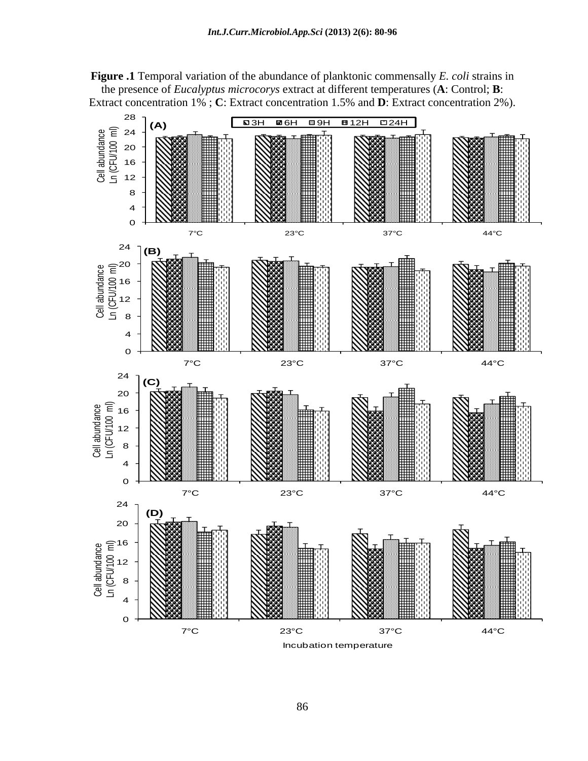**Figure .1** Temporal variation of the abundance of planktonic commensally *E. coli* strains in the presence of *Eucalyptus microcorys* extract at different temperatures (**A**: Control; **B**: Extract concentration 1% ; **C**: Extract concentration 1.5% and **D**: Extract concentration 2%).

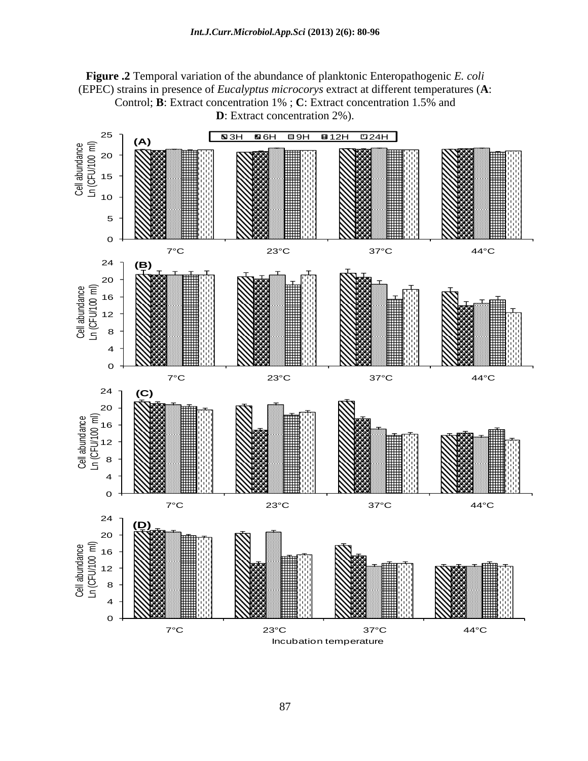

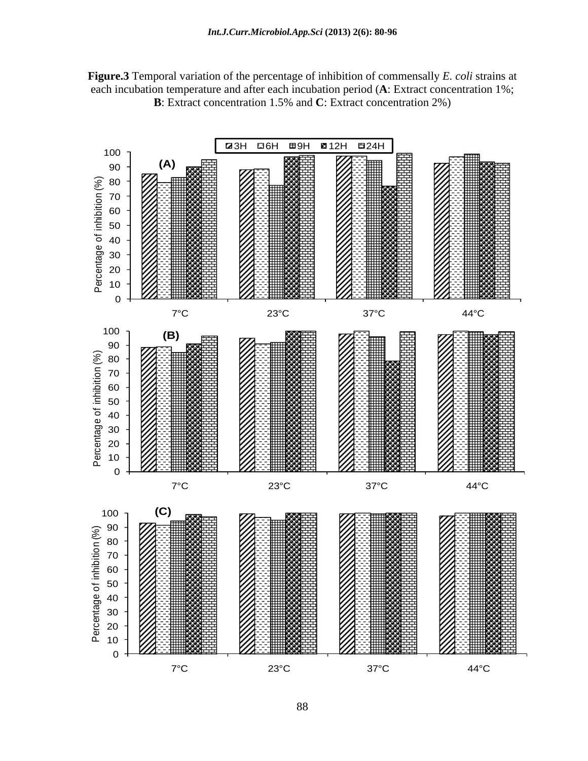**Figure.3** Temporal variation of the percentage of inhibition of commensally *E. coli* strains at each incubation temperature and after each incubation period (**A**: Extract concentration 1%; **B**: Extract concentration 1.5% and **C**: Extract concentration 2%)

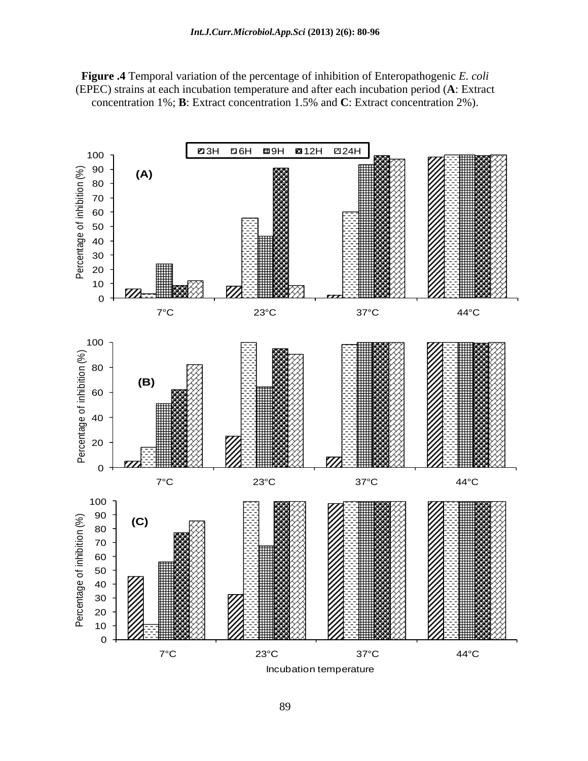**Figure .4** Temporal variation of the percentage of inhibition of Enteropathogenic *E. coli* (EPEC) strains at each incubation temperature and after each incubation period (**A**: Extract concentration 1%; **B**: Extract concentration 1.5% and **C**: Extract concentration 2%).

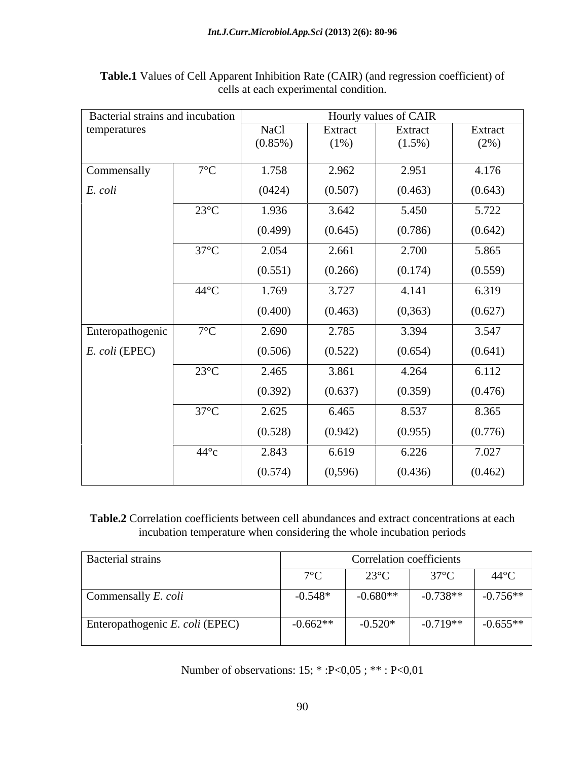| Bacterial strains and incubation |                |             |          | Hourly values of CAIR |         |
|----------------------------------|----------------|-------------|----------|-----------------------|---------|
| temperatures                     |                | <b>NaCl</b> | Extract  | Extract               | Extract |
|                                  |                | $(0.85\%)$  | $(1\%)$  | $(1.5\%)$             | (2%)    |
| Commensally                      | $7^{\circ}$ C  | 1.758       | 2.962    | 2.951                 | 4.176   |
| E. coli                          |                | (0424)      | (0.507)  | (0.463)               | (0.643) |
|                                  | $23^{\circ}$ C | 1.936       | 3.642    | 5.450                 | 5.722   |
|                                  |                | (0.499)     | (0.645)  | (0.786)               | (0.642) |
|                                  | $37^{\circ}$ C | 2.054       | 2.661    | 2.700                 | 5.865   |
|                                  |                | (0.551)     | (0.266)  | (0.174)               | (0.559) |
|                                  | $44^{\circ}$ C | 1.769       | 3.727    | 4.141                 | 6.319   |
|                                  |                | (0.400)     | (0.463)  | (0, 363)              | (0.627) |
| Enteropathogenic                 | $7^{\circ}$ C  | 2.690       | 2.785    | 3.394                 | 3.547   |
| <i>E. coli</i> (EPEC)            |                | (0.506)     | (0.522)  | (0.654)               | (0.641) |
|                                  | $23^{\circ}$ C | 2.465       | 3.861    | 4.264                 | 6.112   |
|                                  |                | (0.392)     | (0.637)  | (0.359)               | (0.476) |
|                                  | $37^{\circ}$ C | 2.625       | 6.465    | 8.537                 | 8.365   |
|                                  |                | (0.528)     | (0.942)  | (0.955)               | (0.776) |
|                                  | $44^{\circ}c$  | 2.843       | 6.619    | 6.226                 | 7.027   |
|                                  |                | (0.574)     | (0, 596) | (0.436)               | (0.462) |
|                                  |                |             |          |                       |         |

**Table.1** Values of Cell Apparent Inhibition Rate (CAIR) (and regression coefficient) of cells at each experimental condition.

**Table.2** Correlation coefficients between cell abundances and extract concentrations at each incubation temperature when considering the whole incubation periods

| <b>Bacterial strains</b>        | Correlation coefficients |                           |                       |                |
|---------------------------------|--------------------------|---------------------------|-----------------------|----------------|
|                                 | $\sqrt{2}$               | $\bigcap$<br>$23^\circ$ C | 270C                  | $44^{\circ}$ C |
| Commensally E. coli             | $-0.548*$                | $-0.680**$                | $-0.738**$ $-0.756**$ |                |
| Enteropathogenic E. coli (EPEC) | $-0.662**$               | $-0.520*$                 | $-0.719**$            | $-0.655**$     |

Number of observations: 15; \* :P<0,05 ; \*\* : P<0,01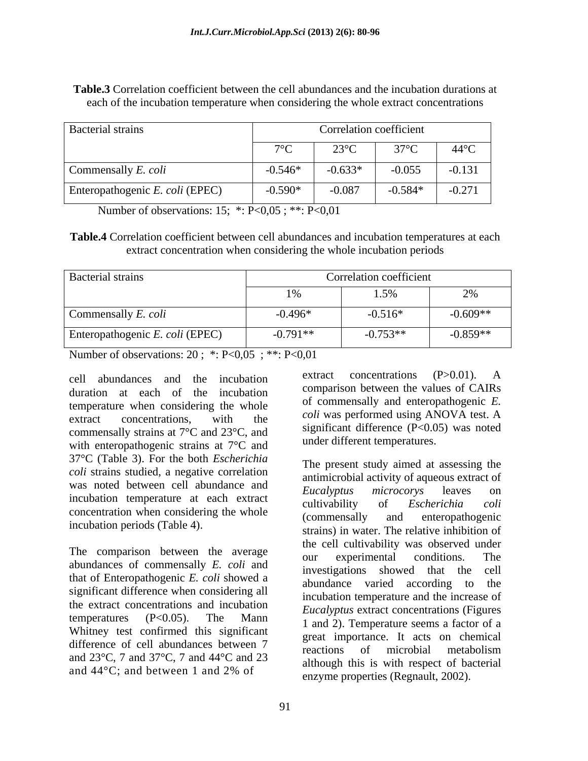| Correlation coefficient<br><b>Bacterial strains</b> |                     |                |              |                                               |
|-----------------------------------------------------|---------------------|----------------|--------------|-----------------------------------------------|
|                                                     | $\neg$              | $23^{\circ}$ C | $37^\circ C$ | $44^{\circ}$ C                                |
| Commensally E. coli                                 | $-0.546*$<br>$\sim$ | $-0.633*$      | $-0.055$     | $-0.131$<br>the company of the company of the |
| Enteropathogenic E. coli (EPEC)                     | $-0.590*$           | $-0.087$       | $-0.584*$    | 0.271<br>$-0.211$                             |

**Table.3** Correlation coefficient between the cell abundances and the incubation durations at each of the incubation temperature when considering the whole extract concentrations

Number of observations: 15; \*: P<0,05 ; \*\*: P<0,01

**Table.4** Correlation coefficient between cell abundances and incubation temperatures at each extract concentration when considering the whole incubation periods

| <b>Bacterial strains</b>        |                   | Correlation coefficient       |            |
|---------------------------------|-------------------|-------------------------------|------------|
|                                 | $\sim$ / $\sigma$ | $\sim$ $\sim$ $\sim$<br>1.001 | $\sim$ 70  |
| Commensally E. coli             | $-0.496*$         | $-0.516*$                     | $-0.609**$ |
| Enteropathogenic E. coli (EPEC) | $0.791**$         | $-0.753**$                    | $-0.859**$ |

Number of observations: 20 ; \*: P<0,05 ; \*\*: P<0,01

duration at each of the incubation temperature when considering the whole extract concentrations, with the  $\frac{1}{2}$  the  $\frac{1}{2}$  contract was performed using ANOVA test. A commensally strains at 7°C and 23°C, and with enteropathogenic strains at 7°C and 37°C (Table 3). For the both *Escherichia coli* strains studied, a negative correlation was noted between cell abundance and <br>*Eucalyptus microcorys* leaves on incubation temperature at each extract cultivability of *Escherichia coli* concentration when considering the whole (commensally and enteropathogenic

The comparison between the average our experimental conditions. The abundances of commensally *E. coli* and<br>investigations showed that the cell that of Enteropathogenic *E. coli* showed a significant difference when considering all the extract concentrations and incubation Whitney test confirmed this significant difference of cell abundances between 7 secure importance. It also on enemies and 23°C, 7 and 37°C, 7 and 44°C and 23

cell abundances and the incubation extract concentrations (P>0.01). A extract concentrations (P>0.01). A comparison between the values of CAIRs of commensally and enteropathogenic *E. coli* was performed using ANOVA test. A significant difference (P<0.05) was noted under different temperatures.

incubation periods (Table 4).<br>
strains) in water. The relative inhibition of temperatures (P<0.05). The Mann  $\frac{2\pi \epsilon a y \sin \theta}{1 \text{ and } 2}$  Temperature seems a factor of a and  $44^{\circ}$ C; and between 1 and 2% of anzyme properties (Begroup)  $(2002)$ The present study aimed at assessing the antimicrobial activity of aqueous extract of *Eucalyptus microcorys* leaves on cultivability of *Escherichia coli* (commensally and enteropathogenic the cell cultivability was observed under our experimental conditions. The investigations showed that the abundance varied according to the incubation temperature and the increase of *Eucalyptus* extract concentrations (Figures 1 and 2). Temperature seems a factor of a great importance. It acts on chemical reactions of microbial metabolism although this is with respect of bacterial enzyme properties (Regnault, 2002).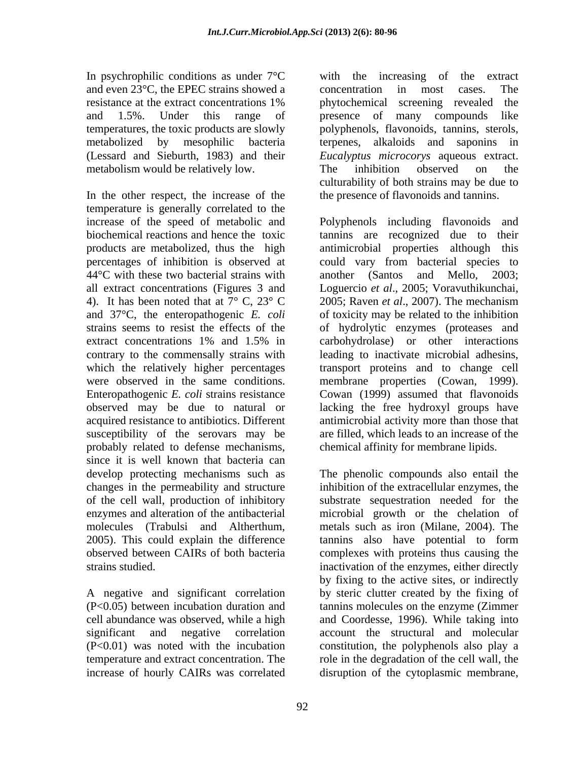In psychrophilic conditions as under  $7^{\circ}$ C and even 23<sup>o</sup>C, the EPEC strains showed a concentration in most cases. The temperatures, the toxic products are slowly polyphenols, flavonoids, tannins, sterols, metabolized by mesophilic bacteria metabolism would be relatively low. The inhibition observed on the

In the other respect, the increase of the temperature is generally correlated to the  $44^{\circ}$ C with these two bacterial strains with another (Santos and Mello, 2003; 4). It has been noted that at  $7^{\circ}$  C,  $23^{\circ}$  C 2005; Raven *et al.*, 2007). The mechanism and 37°C, the enteropathogenic *E. coli* acquired resistance to antibiotics. Different susceptibility of the serovars may be probably related to defense mechanisms, since it is well known that bacteria can changes in the permeability and structure 2005). This could explain the difference

resistance at the extract concentrations 1% bytochemical screening revealed the and 1.5%. Under this range of presence of many compounds like (Lessard and Sieburth, 1983) and their *Eucalyptus microcorys* aqueous extract. with the increasing of the extract concentration in most cases. The phytochemical screening revealed the polyphenols, flavonoids, tannins, sterols, terpenes, alkaloids and saponins in The inhibition observed on the culturability of both strains may be due to the presence of flavonoids and tannins.

increase of the speed of metabolic and Polyphenols including flavonoids and biochemical reactions and hence the toxic tannins are recognized due to their products are metabolized, thus the high antimicrobial properties although this percentages of inhibition is observed at could vary from bacterial species to all extract concentrations (Figures 3 and Loguercio *et al*., 2005; Voravuthikunchai, strains seems to resist the effects of the of hydrolytic enzymes (proteases and extract concentrations 1% and 1.5% in carbohydrolase) or other interactions contrary to the commensally strains with leading to inactivate microbial adhesins, which the relatively higher percentages transport proteins and to change cell were observed in the same conditions. membrane properties (Cowan, 1999). Enteropathogenic *E. coli* strains resistance Cowan (1999) assumed that flavonoids observed may be due to natural or lacking the free hydroxyl groups have another (Santos and Mello, 2003; 2005; Raven *et al*., 2007). The mechanism of toxicity may be related to the inhibition carbohydrolase) or other interactions antimicrobial activity more than those that are filled, which leads to an increase of the chemical affinity for membrane lipids.

develop protecting mechanisms such as The phenolic compounds also entail the of the cell wall, production of inhibitory substrate sequestration needed for the enzymes and alteration of the antibacterial microbial growth or the chelation of molecules (Trabulsi and Altherthum, metals such as iron (Milane, 2004). The observed between CAIRs of both bacteria complexes with proteins thus causing the strains studied. inactivation of the enzymes, either directly A negative and significant correlation by steric clutter created by the fixing of (P<0.05) between incubation duration and tannins molecules on the enzyme (Zimmer cell abundance was observed, while a high and Coordesse, 1996). While taking into significant and negative correlation account the structural and molecular (P<0.01) was noted with the incubation constitution, the polyphenols also play a temperature and extract concentration. The role in the degradation of the cell wall, the increase of hourly CAIRs was correlated disruption of the cytoplasmic membrane,inhibition of the extracellular enzymes, the tannins also have potential to form by fixing to the active sites, or indirectly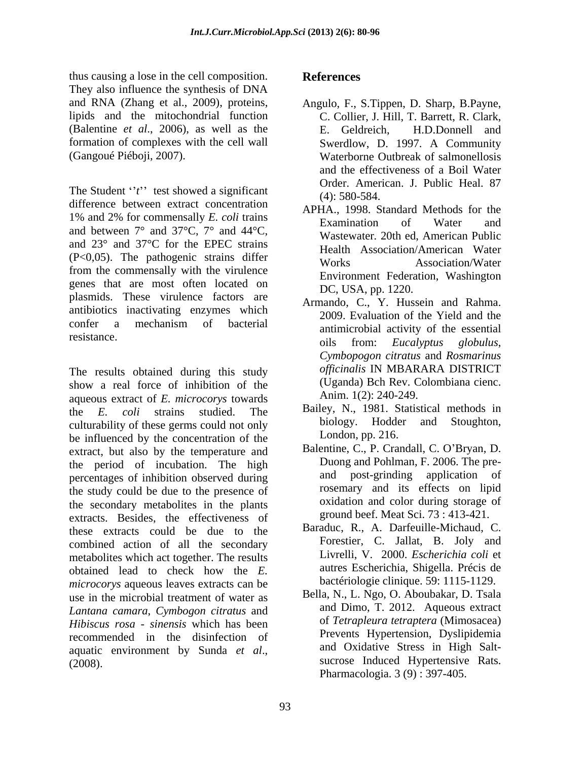thus causing a lose in the cell composition. They also influence the synthesis of DNA and RNA (Zhang et al., 2009), proteins, Angulo, F., S.Tippen, D. Sharp, B.Payne, lipids and the mitochondrial function (Balentine *et al*., 2006), as well as the formation of complexes with the cell wall Swerdlow, D. 1997. A Community

The Student ''*t*" test showed a significant (4): 580-584. difference between extract concentration 1% and 2% for commensally *E. coli* trains  $\frac{1}{2}$  and  $\frac{2}{2}$  for commensary *E*. *Con* trains<br>and between  $7^{\circ}$  and  $37^{\circ}$ C,  $7^{\circ}$  and  $44^{\circ}$ C, Westmeter 20th and American Pablic and 23° and 37°C for the EPEC strains (P<0,05). The pathogenic strains differ<br>Works Monday Association/Water from the commensally with the virulence genes that are most often located on plasmids. These virulence factors are antibiotics inactivating enzymes which confer a mechanism of bacterial  $\frac{200}{200}$ . Evaluation of the rich and the resistance.

The results obtained during this study show a real force of inhibition of the aqueous extract of *E. microcorys* towards the *E. coli* strains studied. The Bailey, N., 1981. Statistical methods in culturability of these germs could not only biology. Hodder and Stoughton, be influenced by the concentration of the extract, but also by the temperature and the period of incubation. The high percentages of inhibition observed during the study could be due to the presence of the secondary metabolites in the plants extracts. Besides, the effectiveness of these extracts could be due to the combined action of all the secondary metabolites which act together. The results obtained lead to check how the *E*. autres Escherichia, Shigella. Precis de<br>*microcorys* aqueous leaves extracts can be bactériologie clinique. 59: 1115-1129. use in the microbial treatment of water as *Lantana camara*, *Cymbogon citratus* and *Hibiscus rosa - sinensis* which has been recommended in the disinfection of aquatic environment by Sunda *et al.*, and Oxidative Stress in High Salt-<br>(2008).

### **References**

- (Gangoué Piéboji, 2007). Waterborne Outbreak of salmonellosis C. Collier, J. Hill, T. Barrett, R. Clark, E. Geldreich, H.D.Donnell and Swerdlow, D. 1997. A Community and the effectiveness of a Boil Water Order. American. J. Public Heal. 87 (4): 580-584.
	- APHA., 1998. Standard Methods for the Examination of Water and Wastewater*.* 20th ed, American Public Health Association/American Water Works Association/Water Environment Federation, Washington DC, USA, pp. 1220.
	- Armando, C., Y. Hussein and Rahma. 2009. Evaluation of the Yield and the antimicrobial activity of the essential oils from: *Eucalyptus globulus*, *Cymbopogon citratus* and *Rosmarinus officinalis* IN MBARARA DISTRICT (Uganda) Bch Rev. Colombiana cienc. Anim. 1(2): 240-249.
	- biology. Hodder and Stoughton, London, pp. 216.
	- Balentine, C., P. Crandall, C. O'Bryan, D. Duong and Pohlman, F. 2006. The pre and post-grinding application of rosemary and its effects on lipid oxidation and color during storage of ground beef. Meat Sci. 73 : 413-421.
	- Baraduc, R., A. Darfeuille-Michaud, C. Forestier, C. Jallat, B. Joly and Livrelli, V. 2000. *Escherichia coli* et autres Escherichia, Shigella. Précis de bactériologie clinique. 59: 1115-1129.
	- Bella, N., L. Ngo, O. Aboubakar, D. Tsala and Dimo, T. 2012. Aqueous extract of *Tetrapleura tetraptera* (Mimosacea) Prevents Hypertension, Dyslipidemia and Oxidative Stress in High Salt sucrose Induced Hypertensive Rats. Pharmacologia. 3 (9) : 397-405.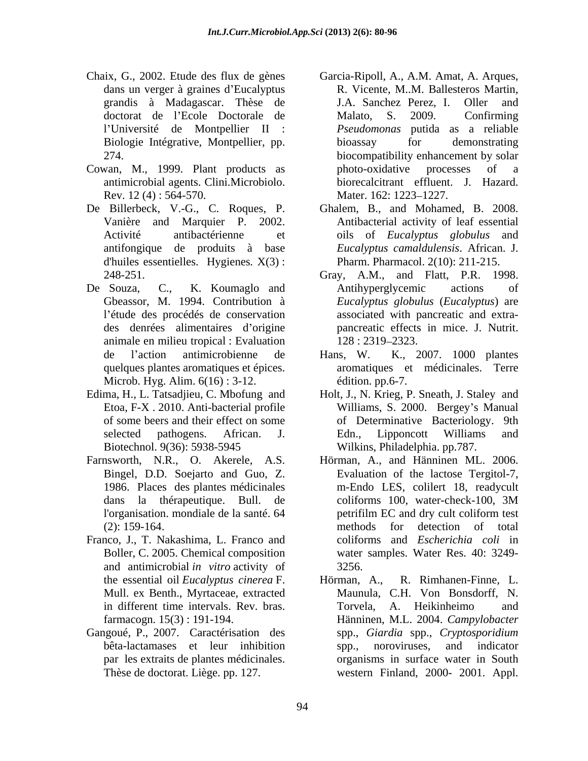- l Université de Montpellier II :
- Cowan, M., 1999. Plant products as antimicrobial agents. Clini.Microbiolo. Rev. 12(4): 564-570. Mater. 162: 1223–1227.
- De Billerbeck, V.-G., C. Roques, P. antifongique de produits à base d'huiles essentielles. Hygienes*.* X(3) :
- animale en milieu tropical : Evaluation quelques plantes aromatiques et épices. Microb. Hyg. Alim. 6(16) : 3-12.
- 
- 
- Franco, J., T. Nakashima, L. Franco and and antimicrobial *in vitro* activity of the essential oil *Eucalyptus cinerea* F. Mull. ex Benth., Myrtaceae, extracted
- Gangoué, P., 2007. Caractérisation des
- Chaix, G., 2002. Etude des flux de gènes Garcia-Ripoll, A., A.M. Amat, A. Arques, dans un verger à graines d'Eucalyptus **R. Vicente, M..M. Ballesteros Martin**, grandis à Madagascar. Thèse de doctorat de l'Ecole Doctorale de Malato, S. 2009. Confirming Biologie Intégrative, Montpellier, pp. 274. biocompatibility enhancement by solar J.A. Sanchez Perez, I. Oller and Malato, S. 2009. Confirming *Pseudomonas* putida as a reliable bioassay for demonstrating photo-oxidative processes of a biorecalcitrant effluent. J. Hazard. Mater. 162: 1223–1227.
	- Vanière and Marquier P. 2002. Antibacterial activity of leaf essential Activité antibactérienne et oils of *Eucalyptus globulus* and Ghalem, B., and Mohamed, B. 2008. *Eucalyptus camaldulensis*. African. J. Pharm. Pharmacol. 2(10): 211-215.
- 248-251. Gray, A.M., and Flatt, P.R. 1998. De Souza, C., K. Koumaglo and Gbeassor, M. 1994. Contribution à *Eucalyptus globulus* (*Eucalyptus*) are l'étude des procédés de conservation associated with pancreatic and extrades denrées alimentaires d origine pancreatic effects in mice. J. Nutrit. Antihyperglycemic actions of 128 : 2319 2323.
	- de l'action antimicrobienne de Hans, W. K., 2007. 1000 plantes aromatiques et médicinales. Terre édition. pp.6-7.
- Edima, H., L. Tatsadjieu, C. Mbofung and Holt, J., N. Krieg, P. Sneath, J. Staley and Etoa, F-X . 2010. Anti-bacterial profile Williams, S. 2000. Bergey s Manual of some beers and their effect on some of Determinative Bacteriology. 9th selected pathogens. African. J. Edn., Lipponcott Williams and Biotechnol. 9(36): 5938-5945 Wilkins, Philadelphia. pp.787. of Determinative Bacteriology. Edn., Lipponcott Williams and
- Farnsworth, N.R., O. Akerele, A.S. Hörman, A., and Hänninen ML. 2006.<br>Bingel, D.D. Soejarto and Guo, Z. Evaluation of the lactose Tergitol-7, 1986. Places des plantes médicinales m-Endo LES, colilert 18, readycult dans la thérapeutique. Bull. de l'organisation. mondiale de la santé. 64 (2): 159-164. Boller, C. 2005. Chemical composition water samples. Water Res. 40: 3249- Hörman, A., and Hänninen ML. 2006. Evaluation of the lactose Tergitol-7, coliforms 100, water-check-100, 3M petrifilm EC and dry cult coliform test methods for detection of total coliforms and *Escherichia coli* in 3256.
	- in different time intervals. Rev. bras. farmacogn. 15(3) : 191-194. Hänninen, M.L. 2004. *Campylobacter* bêta-lactamases et leur inhibition par les extraits de plantes médicinales. organisms in surface water in South Thèse de doctorat. Liège. pp. 127. western Finland, 2000- 2001. Appl. R. Rimhanen-Finne, L. Maunula, C.H. Von Bonsdorff, N. Torvela, A. Heikinheimo and spp., *Giardia* spp., *Cryptosporidium* spp., noroviruses, and indicator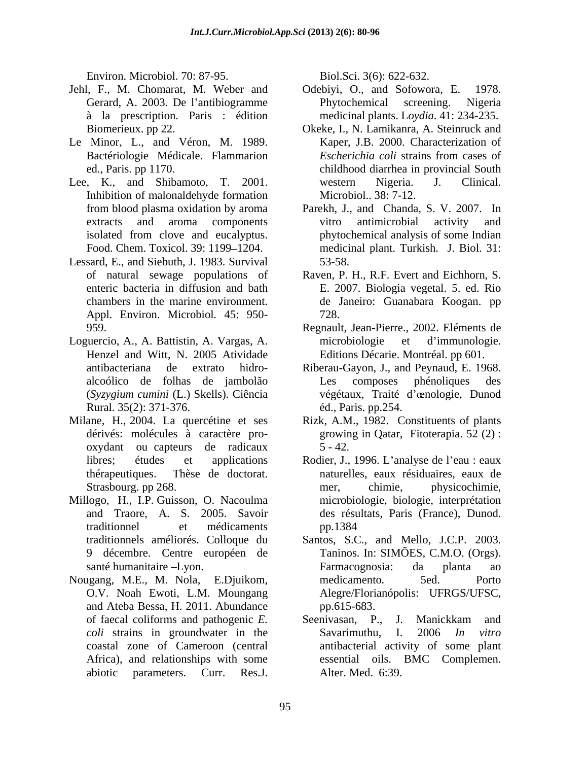Environ. Microbiol. 70: 87-95. Biol.Sci. 3(6): 622-632.

- Jehl, F., M. Chomarat, M. Weber and Odebiyi, O., and Sofowora, E. 1978. à la prescription. Paris : édition
- Le Minor, L., and Véron, M. 1989.
- Lee, K., and Shibamoto, T. 2001. western Nigeria. J. Clinical. Inhibition of malonaldehyde formation
- Lessard, E., and Siebuth, J. 1983. Survival Appl. Environ. Microbiol*.* 45: 950-
- Loguercio, A., A. Battistin, A. Vargas, A. Henzel and Witt, N. 2005 Atividade (*Syzygium cumini* (L.) Skells). Ciência Rural*.* 35(2): 371-376.
- Milane, H., 2004. La quercétine et ses Rizk, A.M., 1982. Constituents of plants
- Millogo, H., I.P. Guisson, O. Nacoulma microbiologie, biologie, interprétation and Traore, A. S. 2005. Savoir des résultats, Paris (France), Dunod.
- Nougang, M.E., M. Nola, E.Djuikom, and Ateba Bessa, H. 2011. Abundance Favoris Microbiotic Parameters. The Hotse Current and the science of the science of the science of the current A. Sti. Sci. Sci. 10. In the science of the science of the science of the science of the science of the science

- Gerard, A. 2003. De l'antibiogramme Phytochemical screening. Nigeria medicinal plants. L*oydia*. 41: 234-235.
- Biomerieux. pp 22. Okeke, I., N. Lamikanra, A. Steinruck and Bactériologie Médicale. Flammarion *Escherichia coli* strains from cases of ed., Paris. pp 1170. childhood diarrhea in provincial South Kaper, J.B. 2000. Characterization of *Escherichia coli* strains from cases of western Nigeria. J. Clinical. Microbiol.. 38: 7-12.
- from blood plasma oxidation by aroma Parekh, J., and Chanda, S. V. 2007. In extracts and aroma components vitro antimicrobial activity and isolated from clove and eucalyptus. phytochemical analysis of some Indian Food. Chem. Toxicol. 39: 1199–1204. Turdicinal plant. Turkish. J. Biol. 31: vitro antimicrobial activity and phytochemical analysis of some Indian 53-58.
- of natural sewage populations of Raven, P. H., R.F. Evert and Eichhorn, S. enteric bacteria in diffusion and bath E. 2007. Biologia vegetal. 5. ed. Rio chambers in the marine environment. de Janeiro: Guanabara Koogan. pp 728.
- 959. Regnault, Jean-Pierre., 2002. Eléments de microbiologie et d immunologie. Editions Décarie. Montréal. pp 601.
- antibacteriana de extrato hidro- Riberau-Gayon, J., and Peynaud, E. 1968. alcoólico de folhas de jambolão Les composes phénoliques des végétaux, Traité d'œnologie, Dunod éd., Paris. pp.254.
- dérivés: molécules à caractère pro- growing in Qatar, Fitoterapia. 52 (2) : oxydant ou capteurs de radicaux  $5 - 42.$
- libres; études et applications Rodier, J., 1996. L'analyse de l'eau : eaux thérapeutiques. Thèse de doctorat. naturelles, eaux résiduaires, eaux de Strasbourg. pp 268. The contract of the chimic physicochimie. traditionnel et médicaments mer, chimie, physicochimie, microbiologie, biologie, interprétation des résultats, Paris (France), Dunod. pp.1384
- traditionnels améliorés. Colloque du Santos, S.C., and Mello, J.C.P. 2003. 9 décembre. Centre européen de Taninos. In: SIMÕES, C.M.O. (Orgs). santé humanitaire -Lyon. **Example 1** Farmacognosia: da planta ao O.V. Noah Ewoti, L.M. Moungang Alegre/Florianópolis: UFRGS/UFSC, Farmacognosia: da planta ao medicamento*.* 5ed. Porto pp.615-683.
- of faecal coliforms and pathogenic *E. coli* strains in groundwater in the Savarimuthu, I. 2006 In vitro coastal zone of Cameroon (central antibacterial activity of some plant Africa), and relationships with some essential oils. BMC Complemen. Seenivasan, P., J. Manickkam and Savarimuthu, I. 2006 *In vitro* Alter. Med.6:39.